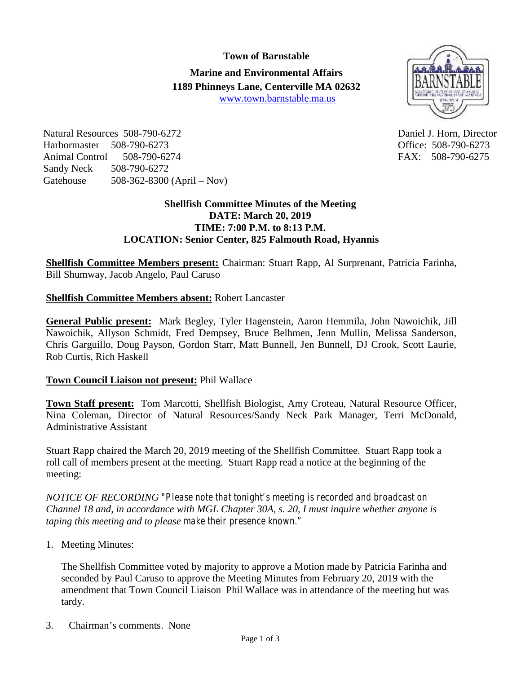**Town of Barnstable Marine and Environmental Affairs 1189 Phinneys Lane, Centerville MA 02632** www.town.barnstable.ma.us



Natural Resources 508-790-6272 Daniel J. Horn, Director Harbormaster 508-790-6273 Office: 508-790-6273 Animal Control 508-790-6274 FAX: 508-790-6275 Sandy Neck 508-790-6272 Gatehouse 508-362-8300 (April – Nov)

## **Shellfish Committee Minutes of the Meeting DATE: March 20, 2019 TIME: 7:00 P.M. to 8:13 P.M. LOCATION: Senior Center, 825 Falmouth Road, Hyannis**

**Shellfish Committee Members present:** Chairman: Stuart Rapp, Al Surprenant, Patricia Farinha, Bill Shumway, Jacob Angelo, Paul Caruso

## **Shellfish Committee Members absent:** Robert Lancaster

**General Public present:** Mark Begley, Tyler Hagenstein, Aaron Hemmila, John Nawoichik, Jill Nawoichik, Allyson Schmidt, Fred Dempsey, Bruce Belhmen, Jenn Mullin, Melissa Sanderson, Chris Garguillo, Doug Payson, Gordon Starr, Matt Bunnell, Jen Bunnell, DJ Crook, Scott Laurie, Rob Curtis, Rich Haskell

## **Town Council Liaison not present:** Phil Wallace

**Town Staff present:** Tom Marcotti, Shellfish Biologist, Amy Croteau, Natural Resource Officer, Nina Coleman, Director of Natural Resources/Sandy Neck Park Manager, Terri McDonald, Administrative Assistant

Stuart Rapp chaired the March 20, 2019 meeting of the Shellfish Committee. Stuart Rapp took a roll call of members present at the meeting. Stuart Rapp read a notice at the beginning of the meeting:

*NOTICE OF RECORDING "Please note that tonight's meeting is recorded and broadcast on Channel 18 and, in accordance with MGL Chapter 30A, s. 20, I must inquire whether anyone is taping this meeting and to please make their presence known."*

1. Meeting Minutes:

The Shellfish Committee voted by majority to approve a Motion made by Patricia Farinha and seconded by Paul Caruso to approve the Meeting Minutes from February 20, 2019 with the amendment that Town Council Liaison Phil Wallace was in attendance of the meeting but was tardy.

3. Chairman's comments. None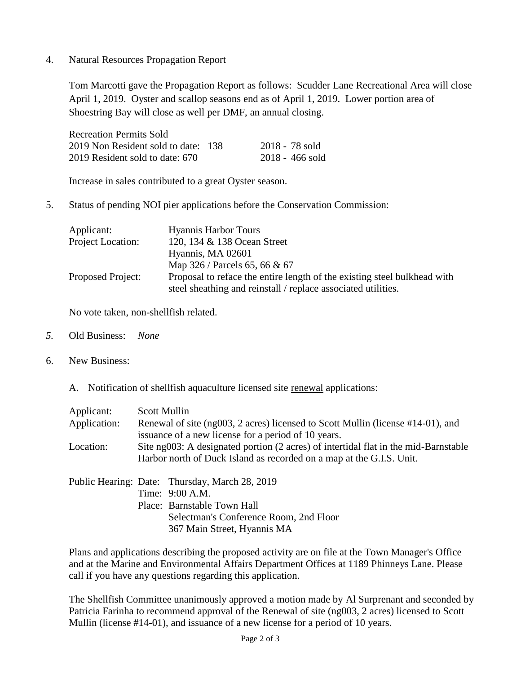4. Natural Resources Propagation Report

Tom Marcotti gave the Propagation Report as follows: Scudder Lane Recreational Area will close April 1, 2019. Oyster and scallop seasons end as of April 1, 2019. Lower portion area of Shoestring Bay will close as well per DMF, an annual closing.

| <b>Recreation Permits Sold</b>      |                   |
|-------------------------------------|-------------------|
| 2019 Non Resident sold to date: 138 | -2018 - 78 sold   |
| 2019 Resident sold to date: 670     | $2018 - 466$ sold |

Increase in sales contributed to a great Oyster season.

5. Status of pending NOI pier applications before the Conservation Commission:

| Applicant:               | <b>Hyannis Harbor Tours</b>                                                                                                               |  |
|--------------------------|-------------------------------------------------------------------------------------------------------------------------------------------|--|
| Project Location:        | 120, 134 & 138 Ocean Street                                                                                                               |  |
|                          | Hyannis, MA 02601                                                                                                                         |  |
|                          | Map 326 / Parcels 65, 66 & 67                                                                                                             |  |
| <b>Proposed Project:</b> | Proposal to reface the entire length of the existing steel bulkhead with<br>steel sheathing and reinstall / replace associated utilities. |  |

No vote taken, non-shellfish related.

- *5.* Old Business: *None*
- 6. New Business:
	- A. Notification of shellfish aquaculture licensed site renewal applications:

| Applicant:<br>Application: | Scott Mullin<br>Renewal of site (ng003, 2 acres) licensed to Scott Mullin (license #14-01), and<br>issuance of a new license for a period of 10 years.                    |
|----------------------------|---------------------------------------------------------------------------------------------------------------------------------------------------------------------------|
| Location:                  | Site ng003: A designated portion (2 acres) of intertidal flat in the mid-Barnstable<br>Harbor north of Duck Island as recorded on a map at the G.I.S. Unit.               |
|                            | Public Hearing: Date: Thursday, March 28, 2019<br>Time: 9:00 A.M.<br>Place: Barnstable Town Hall<br>Selectman's Conference Room, 2nd Floor<br>367 Main Street, Hyannis MA |

Plans and applications describing the proposed activity are on file at the Town Manager's Office and at the Marine and Environmental Affairs Department Offices at 1189 Phinneys Lane. Please call if you have any questions regarding this application.

The Shellfish Committee unanimously approved a motion made by Al Surprenant and seconded by Patricia Farinha to recommend approval of the Renewal of site (ng003, 2 acres) licensed to Scott Mullin (license #14-01), and issuance of a new license for a period of 10 years.